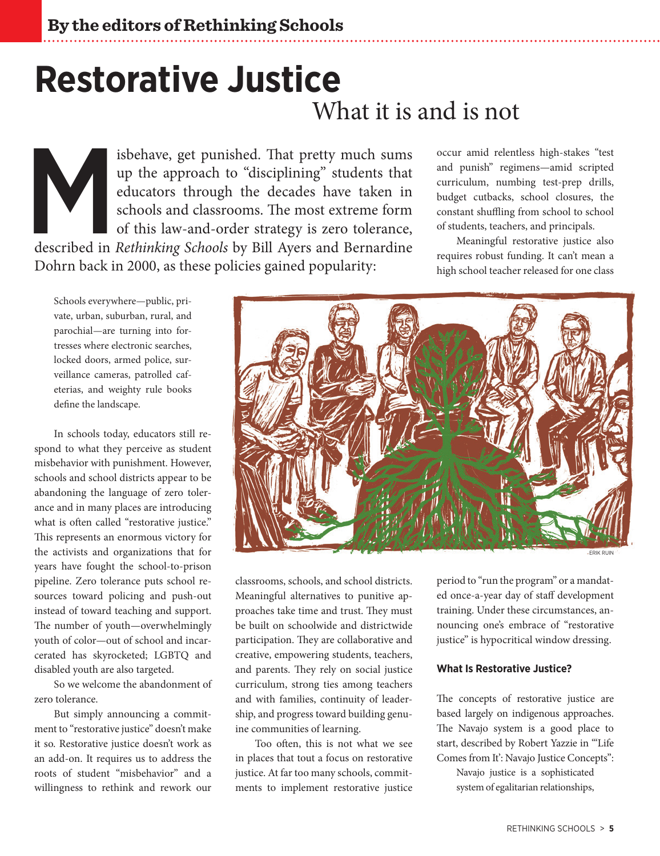# **Restorative Justice** What it is and is not

isbehave, get punished. That pretty much sums<br>up the approach to "disciplining" students that<br>educators through the decades have taken in<br>schools and classrooms. The most extreme form<br>of this law-and-order strategy is zero up the approach to "disciplining" students that educators through the decades have taken in schools and classrooms. The most extreme form of this law-and-order strategy is zero tolerance, Dohrn back in 2000, as these policies gained popularity:

occur amid relentless high-stakes "test and punish" regimens—amid scripted curriculum, numbing test-prep drills, budget cutbacks, school closures, the constant shuffling from school to school of students, teachers, and principals.

Meaningful restorative justice also requires robust funding. It can't mean a high school teacher released for one class

Schools everywhere—public, private, urban, suburban, rural, and parochial—are turning into fortresses where electronic searches, locked doors, armed police, surveillance cameras, patrolled cafeterias, and weighty rule books define the landscape.

In schools today, educators still respond to what they perceive as student misbehavior with punishment. However, schools and school districts appear to be abandoning the language of zero tolerance and in many places are introducing what is often called "restorative justice." This represents an enormous victory for the activists and organizations that for years have fought the school-to-prison pipeline. Zero tolerance puts school resources toward policing and push-out instead of toward teaching and support. The number of youth—overwhelmingly youth of color—out of school and incarcerated has skyrocketed; LGBTQ and disabled youth are also targeted.

So we welcome the abandonment of zero tolerance.

But simply announcing a commitment to "restorative justice" doesn't make it so. Restorative justice doesn't work as an add-on. It requires us to address the roots of student "misbehavior" and a willingness to rethink and rework our



ERIK RUIN

classrooms, schools, and school districts. Meaningful alternatives to punitive approaches take time and trust. They must be built on schoolwide and districtwide participation. They are collaborative and creative, empowering students, teachers, and parents. They rely on social justice curriculum, strong ties among teachers and with families, continuity of leadership, and progress toward building genuine communities of learning.

Too often, this is not what we see in places that tout a focus on restorative justice. At far too many schools, commitments to implement restorative justice

period to "run the program" or a mandated once-a-year day of staff development training. Under these circumstances, announcing one's embrace of "restorative justice" is hypocritical window dressing.

#### **What Is Restorative Justice?**

The concepts of restorative justice are based largely on indigenous approaches. The Navajo system is a good place to start, described by Robert Yazzie in "Life Comes from It': Navajo Justice Concepts":

Navajo justice is a sophisticated system of egalitarian relationships,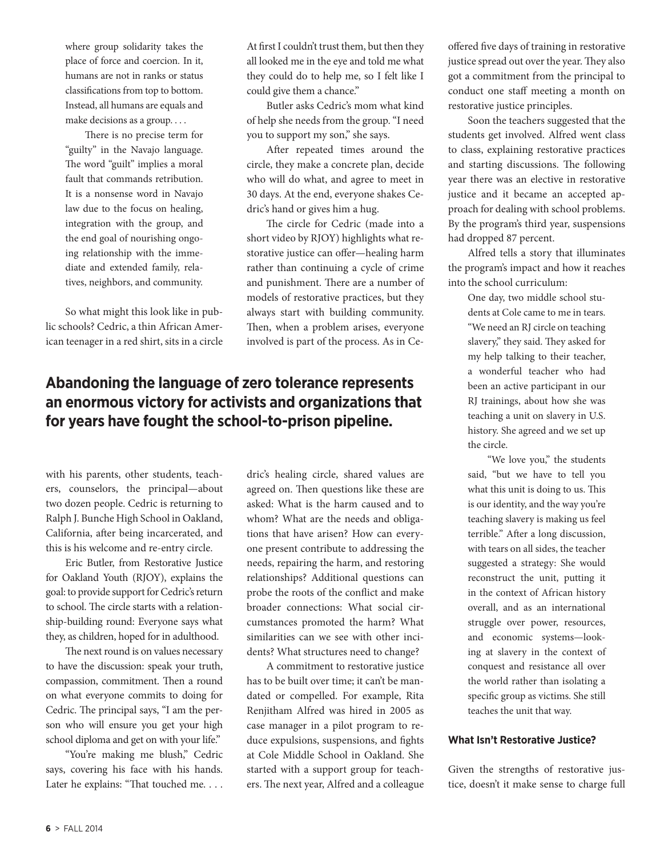where group solidarity takes the place of force and coercion. In it, humans are not in ranks or status classifications from top to bottom. Instead, all humans are equals and make decisions as a group. . . .

There is no precise term for "guilty" in the Navajo language. The word "guilt" implies a moral fault that commands retribution. It is a nonsense word in Navajo law due to the focus on healing, integration with the group, and the end goal of nourishing ongoing relationship with the immediate and extended family, relatives, neighbors, and community.

So what might this look like in public schools? Cedric, a thin African American teenager in a red shirt, sits in a circle At first I couldn't trust them, but then they all looked me in the eye and told me what they could do to help me, so I felt like I could give them a chance."

Butler asks Cedric's mom what kind of help she needs from the group. "I need you to support my son," she says.

After repeated times around the circle, they make a concrete plan, decide who will do what, and agree to meet in 30 days. At the end, everyone shakes Cedric's hand or gives him a hug.

The circle for Cedric (made into a short video by RJOY) highlights what restorative justice can offer—healing harm rather than continuing a cycle of crime and punishment. There are a number of models of restorative practices, but they always start with building community. Then, when a problem arises, everyone involved is part of the process. As in Ce-

## **Abandoning the language of zero tolerance represents an enormous victory for activists and organizations that for years have fought the school-to-prison pipeline.**

with his parents, other students, teachers, counselors, the principal—about two dozen people. Cedric is returning to Ralph J. Bunche High School in Oakland, California, after being incarcerated, and this is his welcome and re-entry circle.

Eric Butler, from Restorative Justice for Oakland Youth (RJOY), explains the goal: to provide support for Cedric's return to school. The circle starts with a relationship-building round: Everyone says what they, as children, hoped for in adulthood.

The next round is on values necessary to have the discussion: speak your truth, compassion, commitment. Then a round on what everyone commits to doing for Cedric. The principal says, "I am the person who will ensure you get your high school diploma and get on with your life."

"You're making me blush," Cedric says, covering his face with his hands. Later he explains: "That touched me. . . . dric's healing circle, shared values are agreed on. Then questions like these are asked: What is the harm caused and to whom? What are the needs and obligations that have arisen? How can everyone present contribute to addressing the needs, repairing the harm, and restoring relationships? Additional questions can probe the roots of the conflict and make broader connections: What social circumstances promoted the harm? What similarities can we see with other incidents? What structures need to change?

A commitment to restorative justice has to be built over time; it can't be mandated or compelled. For example, Rita Renjitham Alfred was hired in 2005 as case manager in a pilot program to reduce expulsions, suspensions, and fights at Cole Middle School in Oakland. She started with a support group for teachers. The next year, Alfred and a colleague offered five days of training in restorative justice spread out over the year. They also got a commitment from the principal to conduct one staff meeting a month on restorative justice principles.

Soon the teachers suggested that the students get involved. Alfred went class to class, explaining restorative practices and starting discussions. The following year there was an elective in restorative justice and it became an accepted approach for dealing with school problems. By the program's third year, suspensions had dropped 87 percent.

Alfred tells a story that illuminates the program's impact and how it reaches into the school curriculum:

> One day, two middle school students at Cole came to me in tears. "We need an RJ circle on teaching slavery," they said. They asked for my help talking to their teacher, a wonderful teacher who had been an active participant in our RJ trainings, about how she was teaching a unit on slavery in U.S. history. She agreed and we set up the circle.

> "We love you," the students said, "but we have to tell you what this unit is doing to us. This is our identity, and the way you're teaching slavery is making us feel terrible." After a long discussion, with tears on all sides, the teacher suggested a strategy: She would reconstruct the unit, putting it in the context of African history overall, and as an international struggle over power, resources, and economic systems—looking at slavery in the context of conquest and resistance all over the world rather than isolating a specific group as victims. She still teaches the unit that way.

#### **What Isn't Restorative Justice?**

Given the strengths of restorative justice, doesn't it make sense to charge full